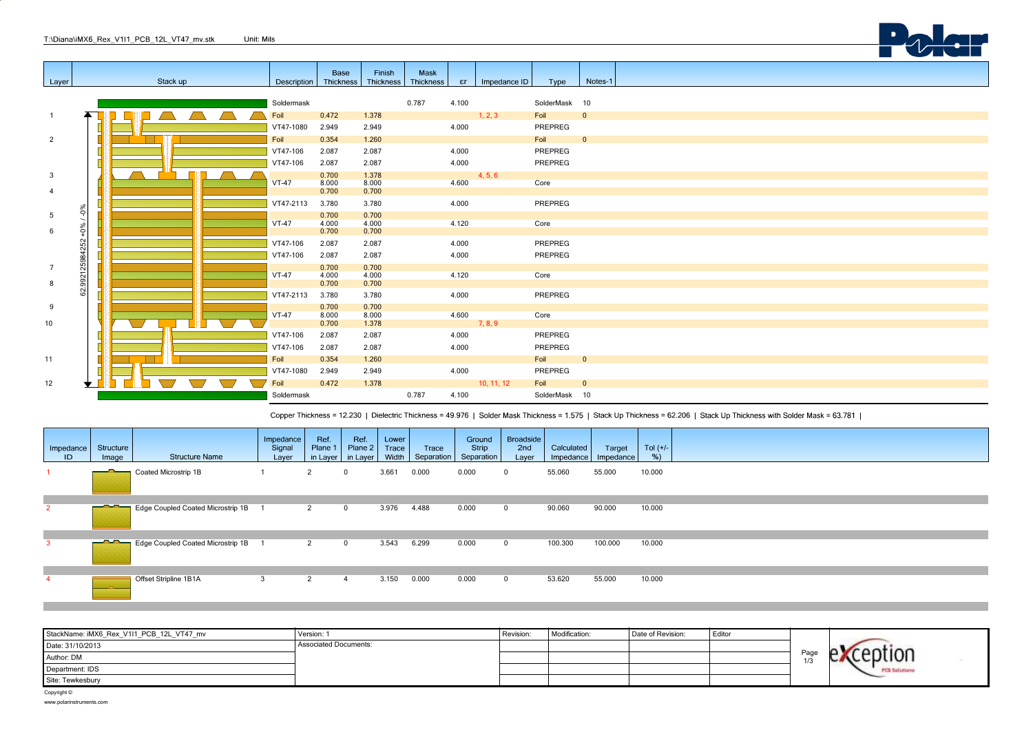|                |                          |          |                         | <b>Base</b>    | Finish         | Mask      |         |              |                       |                         |
|----------------|--------------------------|----------|-------------------------|----------------|----------------|-----------|---------|--------------|-----------------------|-------------------------|
|                |                          | Stack up | Description   Thickness |                | Thickness      | Thickness | er      | Impedance ID |                       | Notes-1                 |
| Layer          |                          |          |                         |                |                |           |         |              | Type                  |                         |
|                |                          |          |                         |                |                |           |         |              |                       |                         |
|                |                          |          | Soldermask              |                |                | 0.787     | 4.100   |              | SolderMask 10         |                         |
| $\overline{1}$ |                          |          | Foil                    | 0.472          | 1.378          |           |         | 1, 2, 3      | Foil 0                |                         |
|                |                          |          | VT47-1080               | 2.949          | 2.949          |           | 4.000   |              | PREPREG               |                         |
| $\overline{2}$ |                          |          | Foil                    | 0.354          | 1.260          |           |         |              | Foil 0                |                         |
|                |                          |          | VT47-106                | 2.087          | 2.087          |           | 4.000   |              | PREPREG               |                         |
|                |                          |          |                         |                |                |           |         |              |                       |                         |
|                |                          |          | VT47-106                | 2.087          | 2.087          |           | 4.000   |              | PREPREG               |                         |
| $\mathbf{3}$   |                          |          |                         | 0.700          | 1.378          |           |         | 4, 5, 6      |                       |                         |
| $\overline{4}$ |                          |          | $VT-47$                 | 8.000<br>0.700 | 8.000<br>0.700 |           | 4.600   |              | Core                  |                         |
|                |                          |          |                         |                |                |           |         |              |                       |                         |
|                | $-0\%$                   |          | VT47-2113               | 3.780          | 3.780          |           | 4.000   |              | PREPREG               |                         |
| 5              | $\overline{\phantom{0}}$ |          |                         | 0.700          | 0.700          |           |         |              |                       |                         |
|                | $+0\%$                   |          | $VT-47$                 | 4.000          | 4.000          |           | 4.120   |              | Core                  |                         |
| 6              |                          |          |                         | 0.700          | 0.700          |           |         |              |                       |                         |
|                | 992125984252             |          | VT47-106                | 2.087          | 2.087          |           | 4.000   |              | PREPREG               |                         |
|                |                          |          | VT47-106                | 2.087          | 2.087          |           | 4.000   |              | PREPREG               |                         |
| $\overline{7}$ |                          |          |                         | 0.700          | 0.700          |           |         |              |                       |                         |
|                |                          |          | $VT-47$                 | 4.000          | 4.000          |           | 4.120   |              | Core                  |                         |
| 8              |                          |          |                         | 0.700          | 0.700          |           |         |              |                       |                         |
|                | 62                       |          | VT47-2113               | 3.780          | 3.780          |           | 4.000   |              | PREPREG               |                         |
| 9              |                          |          |                         | 0.700          | 0.700          |           |         |              |                       |                         |
|                |                          |          | $VT-47$                 | 8.000          | 8.000          |           | 4.600   |              | Core                  |                         |
| 10             |                          |          |                         | 0.700          | 1.378          |           | 7, 8, 9 |              |                       |                         |
|                |                          |          | VT47-106                | 2.087          | 2.087          |           | 4.000   |              | PREPREG               |                         |
|                |                          |          | VT47-106                | 2.087          | 2.087          |           | 4.000   |              | PREPREG               |                         |
| 11             |                          |          | Foil                    | 0.354          | 1.260          |           |         |              | Foil <b>Francisco</b> | $\overline{\mathbf{0}}$ |
|                |                          |          |                         |                |                |           |         |              |                       |                         |
|                |                          |          | VT47-1080               | 2.949          | 2.949          |           | 4.000   |              | PREPREG               |                         |
| 12             |                          |          | Foil                    | 0.472          | 1.378          |           |         | 10, 11, 12   | Foil                  | $\overline{0}$          |
|                |                          |          | Soldermask              |                |                | 0.787     | 4.100   |              | SolderMask 10         |                         |

Copper Thickness = 12.230 | Dielectric Thickness = 49.976 | Solder Mask Thickness = 1.575 | Stack Up Thickness = 62.206 | Stack Up Thickness with Solder Mask = 63.781 |

**Dalour** 

| Impedance<br>ID | Structure<br>Image                                                                                                                                                                                                                   | <b>Structure Name</b>             | Impedance<br>Signal<br>Layer | Ref.<br>Plane 1<br>in Layer | Ref.<br>Plane 2<br>in Layer | Lower<br>Trace<br>Width | Trace<br>Separation | Ground<br>Strip<br>Separation | Broadside<br>2nd<br>Layer | Calculated<br>$Im$ pedance | Target<br>Impedance | Tol $(+/-)$<br>% |  |
|-----------------|--------------------------------------------------------------------------------------------------------------------------------------------------------------------------------------------------------------------------------------|-----------------------------------|------------------------------|-----------------------------|-----------------------------|-------------------------|---------------------|-------------------------------|---------------------------|----------------------------|---------------------|------------------|--|
|                 |                                                                                                                                                                                                                                      | Coated Microstrip 1B              |                              | 2                           | $^{\circ}$                  | 3.661                   | 0.000               | 0.000                         | 0                         | 55.060                     | 55.000              | 10.000           |  |
| $\overline{2}$  | <u>the contract of the contract of the contract of the contract of the contract of the contract of the contract of the contract of the contract of the contract of the contract of the contract of the contract of the contract </u> | Edge Coupled Coated Microstrip 1B |                              | 2                           | $\mathbf 0$                 | 3.976                   | 4.488               | 0.000                         | $^{\circ}$                | 90.060                     | 90.000              | 10.000           |  |
| 3               | <u> AA</u>                                                                                                                                                                                                                           | Edge Coupled Coated Microstrip 1B |                              | 2                           | $\mathbf 0$                 | 3.543                   | 6.299               | 0.000                         | $^{\circ}$                | 100.300                    | 100.000             | 10.000           |  |
|                 |                                                                                                                                                                                                                                      | Offset Stripline 1B1A             | 3                            | $\overline{2}$              | 4                           | 3.150                   | 0.000               | 0.000                         | $^{\circ}$                | 53.620                     | 55.000              | 10.000           |  |

| StackName: iMX6_Rex_V1I1_PCB_12L_VT47_mv | Version: 1                   | Revision: | Modification: | Date of Revision: | Editor |      |                      |
|------------------------------------------|------------------------------|-----------|---------------|-------------------|--------|------|----------------------|
| Date: 31/10/2013                         | <b>Associated Documents:</b> |           |               |                   |        |      |                      |
| Author: DM                               |                              |           |               |                   |        | Рале |                      |
| Department: IDS                          |                              |           |               |                   |        |      | <b>PCB Solutions</b> |
| Site: Tewkesbury                         |                              |           |               |                   |        |      |                      |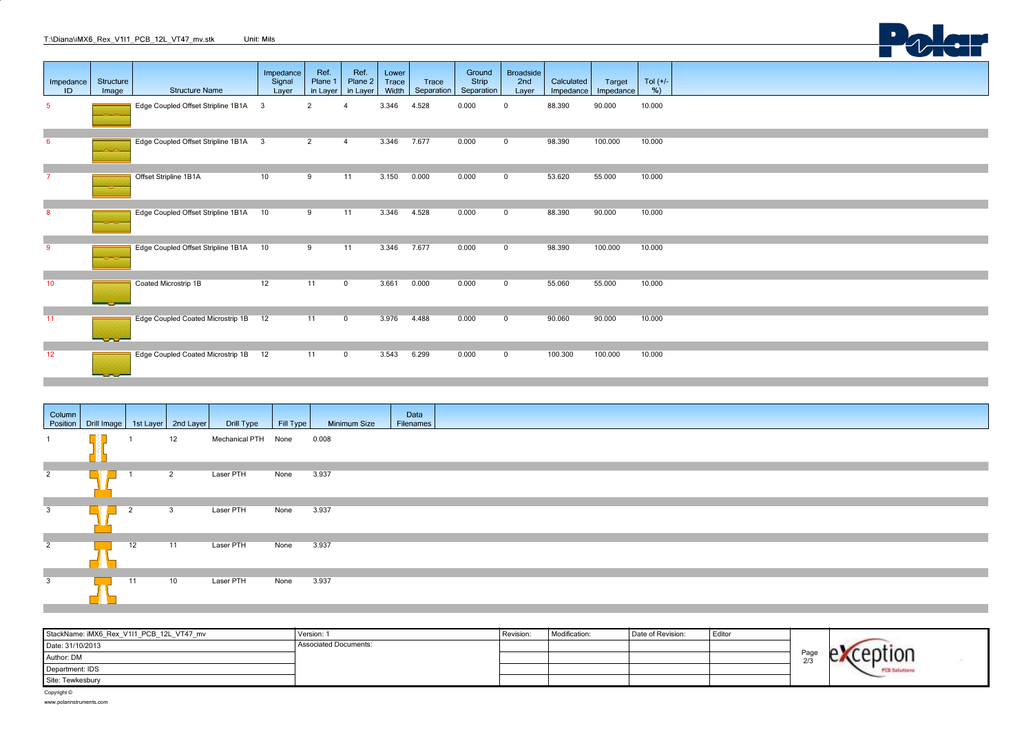|                 |                        | T:\Diana\iMX6 Rex V1I1 PCB 12L VT47 mv.stk | Unit: Mils                   |                             |                             |                         |                     |                               |                                  |                         |                     |                   |  |  |
|-----------------|------------------------|--------------------------------------------|------------------------------|-----------------------------|-----------------------------|-------------------------|---------------------|-------------------------------|----------------------------------|-------------------------|---------------------|-------------------|--|--|
| Impedance<br>ID | Structure<br>Image     | <b>Structure Name</b>                      | Impedance<br>Signal<br>Layer | Ref.<br>Plane 1<br>in Layer | Ref.<br>Plane 2<br>in Layer | Lower<br>Trace<br>Width | Trace<br>Separation | Ground<br>Strip<br>Separation | <b>Broadside</b><br>2nd<br>Layer | Calculated<br>Impedance | Target<br>Impedance | Tol $(+/-)$<br>%) |  |  |
| 5 <sup>1</sup>  |                        | Edge Coupled Offset Stripline 1B1A 3       |                              | $\overline{2}$              |                             | 3.346                   | 4.528               | 0.000                         | 0                                | 88.390                  | 90.000              | 10.000            |  |  |
| $6^{\circ}$     |                        | Edge Coupled Offset Stripline 1B1A 3       |                              | $\overline{2}$              | $\overline{4}$              | 3.346                   | 7.677               | 0.000                         | $\mathbf 0$                      | 98.390                  | 100.000             | 10.000            |  |  |
| 7               |                        | Offset Stripline 1B1A                      | 10                           | 9                           | 11                          | 3.150                   | 0.000               | 0.000                         | $\mathbf 0$                      | 53.620                  | 55.000              | 10.000            |  |  |
| 8               |                        | Edge Coupled Offset Stripline 1B1A         | 10                           | 9                           | 11                          | 3.346                   | 4.528               | 0.000                         | $\mathbf 0$                      | 88.390                  | 90.000              | 10.000            |  |  |
| 9               |                        | Edge Coupled Offset Stripline 1B1A         | 10                           | 9                           | 11                          | 3.346                   | 7.677               | 0.000                         | $\mathbf 0$                      | 98.390                  | 100.000             | 10.000            |  |  |
| 10              |                        | Coated Microstrip 1B                       | 12                           | 11                          | $\overline{0}$              | 3.661                   | 0.000               | 0.000                         | $\mathbf 0$                      | 55.060                  | 55.000              | 10.000            |  |  |
| 11              | <u>a an an an an A</u> | Edge Coupled Coated Microstrip 1B          | 12                           | 11                          | $\overline{0}$              | 3.976                   | 4.488               | 0.000                         | $\mathbf 0$                      | 90.060                  | 90.000              | 10.000            |  |  |
| $\overline{12}$ | $\sim$ $\sim$ $\sim$   | Edge Coupled Coated Microstrip 1B          | 12                           | $\overline{11}$             | $\overline{0}$              | 3.543                   | 6.299               | 0.000                         | $\mathbf 0$                      | 100.300                 | 100.000             | 10.000            |  |  |

| Column                  | Position   Drill Image   1st Layer   2nd Layer |                |                         | Drill Type          | Fill Type | <b>Minimum Size</b> | Data<br>Filenames |
|-------------------------|------------------------------------------------|----------------|-------------------------|---------------------|-----------|---------------------|-------------------|
|                         |                                                |                | 12                      | Mechanical PTH None |           | 0.008               |                   |
| $\overline{2}$          |                                                |                | $\overline{2}$          | Laser PTH           | None      | 3.937               |                   |
| $\overline{\mathbf{3}}$ |                                                | $\overline{2}$ | $\overline{\mathbf{3}}$ | Laser PTH           | None      | 3.937               |                   |
| $\overline{2}$          |                                                | 12             | 11                      | Laser PTH           | None      | 3.937               |                   |
| $\overline{3}$          |                                                | 11             | 10                      | Laser PTH           | None      | 3.937               |                   |

| StackName: iMX6_Rex_V1I1_PCB_12L_VT47_mv | Version: 1           | Revision: | Modification: | Date of Revision: | Editor |                         |                     |  |
|------------------------------------------|----------------------|-----------|---------------|-------------------|--------|-------------------------|---------------------|--|
| Date: 31/10/2013                         | ssociated Documents: |           |               |                   |        |                         |                     |  |
| Author: DM                               |                      |           |               |                   |        | <sup>o</sup> aα∈<br>2/3 |                     |  |
| Department: IDS                          |                      |           |               |                   |        |                         | <b>PCB Solution</b> |  |
| Site: Tewkesbury                         |                      |           |               |                   |        |                         |                     |  |